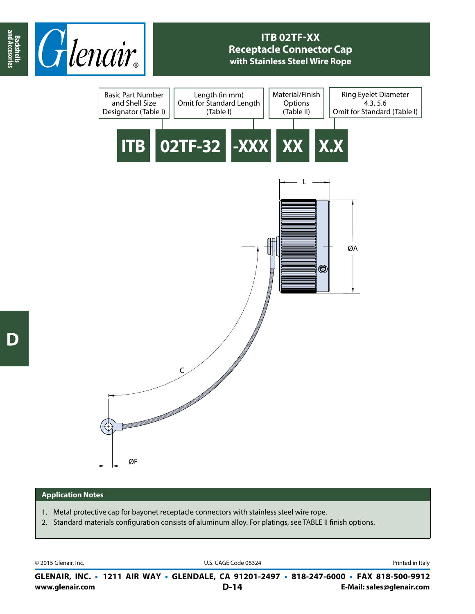

## **ITB 02TF-XX Receptacle Connector Cap with Stainless Steel Wire Rope**



## **Application Notes**

- 1. Metal protective cap for bayonet receptacle connectors with stainless steel wire rope.
- 2. Standard materials configuration consists of aluminum alloy. For platings, see TABLE II finish options.

© 2015 Glenair, Inc. U.S. CAGE Code 06324 Printed in Italy

**www.glenair.com E-Mail: sales@glenair.com GLENAIR, INC. • 1211 AIR WAY • GLENDALE, CA 91201-2497 • 818-247-6000 • FAX 818-500-9912 D-14**

**and Accesories**